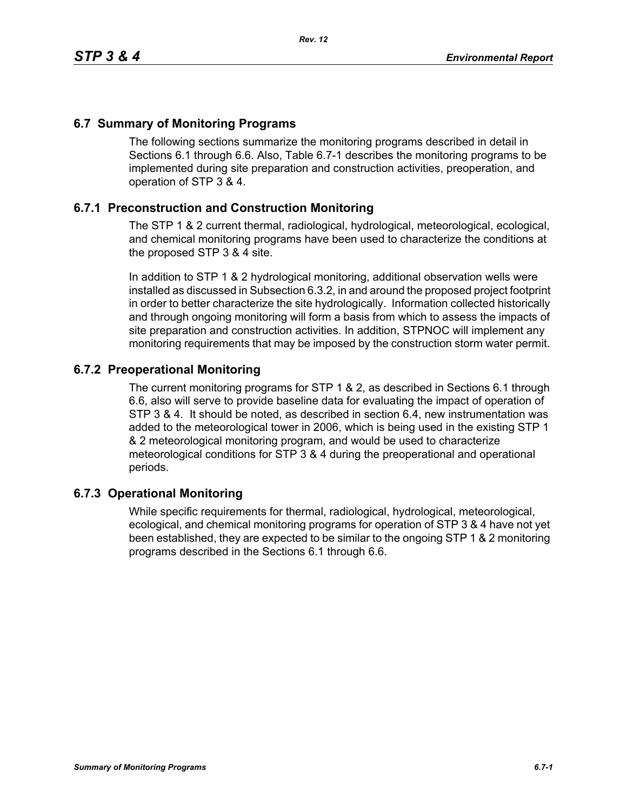## **6.7 Summary of Monitoring Programs**

The following sections summarize the monitoring programs described in detail in Sections 6.1 through 6.6. Also, Table 6.7-1 describes the monitoring programs to be implemented during site preparation and construction activities, preoperation, and operation of STP 3 & 4.

## **6.7.1 Preconstruction and Construction Monitoring**

The STP 1 & 2 current thermal, radiological, hydrological, meteorological, ecological, and chemical monitoring programs have been used to characterize the conditions at the proposed STP 3 & 4 site.

In addition to STP 1 & 2 hydrological monitoring, additional observation wells were installed as discussed in Subsection 6.3.2, in and around the proposed project footprint in order to better characterize the site hydrologically. Information collected historically and through ongoing monitoring will form a basis from which to assess the impacts of site preparation and construction activities. In addition, STPNOC will implement any monitoring requirements that may be imposed by the construction storm water permit.

## **6.7.2 Preoperational Monitoring**

The current monitoring programs for STP 1 & 2, as described in Sections 6.1 through 6.6, also will serve to provide baseline data for evaluating the impact of operation of STP 3 & 4. It should be noted, as described in section 6.4, new instrumentation was added to the meteorological tower in 2006, which is being used in the existing STP 1 & 2 meteorological monitoring program, and would be used to characterize meteorological conditions for STP 3 & 4 during the preoperational and operational periods.

## **6.7.3 Operational Monitoring**

While specific requirements for thermal, radiological, hydrological, meteorological, ecological, and chemical monitoring programs for operation of STP 3 & 4 have not yet been established, they are expected to be similar to the ongoing STP 1 & 2 monitoring programs described in the Sections 6.1 through 6.6.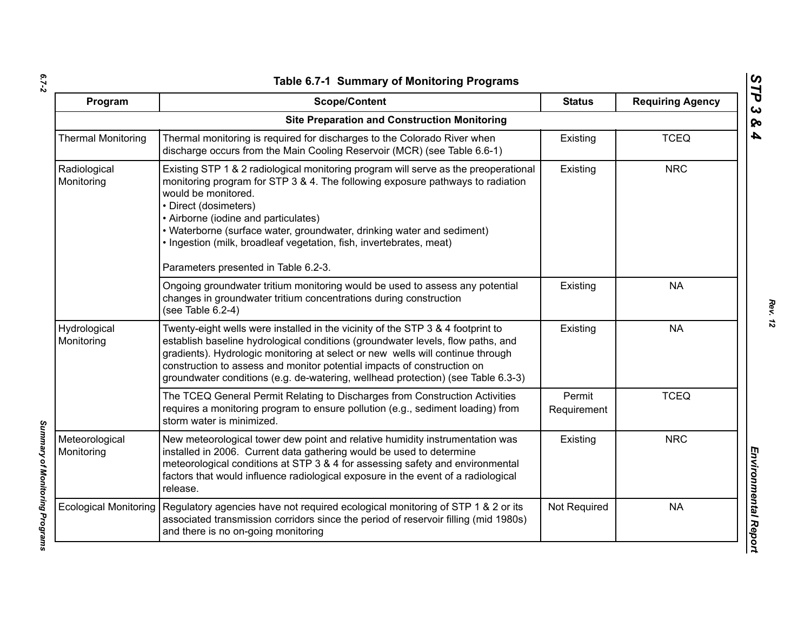| ۰.     |  |
|--------|--|
|        |  |
| $\sim$ |  |

| Program                      | <b>Scope/Content</b>                                                                                                                                                                                                                                                                                                                                                                                                                                   | <b>Status</b>         | <b>Requiring Agency</b> |
|------------------------------|--------------------------------------------------------------------------------------------------------------------------------------------------------------------------------------------------------------------------------------------------------------------------------------------------------------------------------------------------------------------------------------------------------------------------------------------------------|-----------------------|-------------------------|
|                              | <b>Site Preparation and Construction Monitoring</b>                                                                                                                                                                                                                                                                                                                                                                                                    |                       |                         |
| <b>Thermal Monitoring</b>    | Thermal monitoring is required for discharges to the Colorado River when<br>discharge occurs from the Main Cooling Reservoir (MCR) (see Table 6.6-1)                                                                                                                                                                                                                                                                                                   | Existing              | <b>TCEQ</b>             |
| Radiological<br>Monitoring   | Existing STP 1 & 2 radiological monitoring program will serve as the preoperational<br>monitoring program for STP 3 & 4. The following exposure pathways to radiation<br>would be monitored.<br>• Direct (dosimeters)<br>• Airborne (iodine and particulates)<br>• Waterborne (surface water, groundwater, drinking water and sediment)<br>. Ingestion (milk, broadleaf vegetation, fish, invertebrates, meat)<br>Parameters presented in Table 6.2-3. | Existing              | <b>NRC</b>              |
|                              | Ongoing groundwater tritium monitoring would be used to assess any potential<br>changes in groundwater tritium concentrations during construction<br>(see Table 6.2-4)                                                                                                                                                                                                                                                                                 | Existing              | <b>NA</b>               |
| Hydrological<br>Monitoring   | Twenty-eight wells were installed in the vicinity of the STP 3 & 4 footprint to<br>establish baseline hydrological conditions (groundwater levels, flow paths, and<br>gradients). Hydrologic monitoring at select or new wells will continue through<br>construction to assess and monitor potential impacts of construction on<br>groundwater conditions (e.g. de-watering, wellhead protection) (see Table 6.3-3)                                    | Existing              | <b>NA</b>               |
|                              | The TCEQ General Permit Relating to Discharges from Construction Activities<br>requires a monitoring program to ensure pollution (e.g., sediment loading) from<br>storm water is minimized.                                                                                                                                                                                                                                                            | Permit<br>Requirement | <b>TCEQ</b>             |
| Meteorological<br>Monitoring | New meteorological tower dew point and relative humidity instrumentation was<br>installed in 2006. Current data gathering would be used to determine<br>meteorological conditions at STP 3 & 4 for assessing safety and environmental<br>factors that would influence radiological exposure in the event of a radiological<br>release.                                                                                                                 | Existing              | <b>NRC</b>              |
| <b>Ecological Monitoring</b> | Regulatory agencies have not required ecological monitoring of STP 1 & 2 or its<br>associated transmission corridors since the period of reservoir filling (mid 1980s)<br>and there is no on-going monitoring                                                                                                                                                                                                                                          | Not Required          | <b>NA</b>               |

*STP 3 & 4*

Summary of Monitoring Programs *Summary of Monitoring Programs*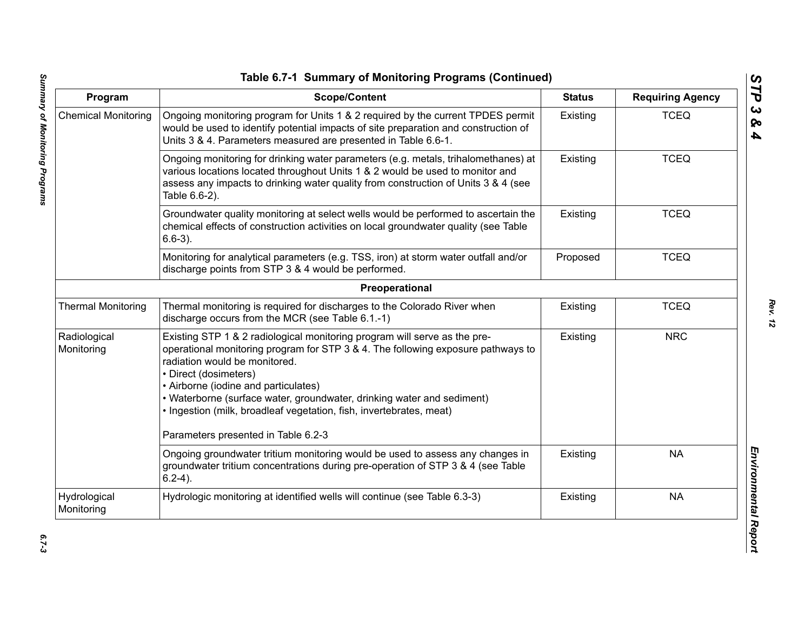| Program                    | <b>Scope/Content</b>                                                                                                                                                                                                                                                                                                                                                                                                                                    | <b>Status</b> | <b>Requiring Agency</b> |
|----------------------------|---------------------------------------------------------------------------------------------------------------------------------------------------------------------------------------------------------------------------------------------------------------------------------------------------------------------------------------------------------------------------------------------------------------------------------------------------------|---------------|-------------------------|
| <b>Chemical Monitoring</b> | Ongoing monitoring program for Units 1 & 2 required by the current TPDES permit<br>would be used to identify potential impacts of site preparation and construction of<br>Units 3 & 4. Parameters measured are presented in Table 6.6-1.                                                                                                                                                                                                                | Existing      | <b>TCEQ</b>             |
|                            | Ongoing monitoring for drinking water parameters (e.g. metals, trihalomethanes) at<br>various locations located throughout Units 1 & 2 would be used to monitor and<br>assess any impacts to drinking water quality from construction of Units 3 & 4 (see<br>Table 6.6-2).                                                                                                                                                                              | Existing      | <b>TCEQ</b>             |
|                            | Groundwater quality monitoring at select wells would be performed to ascertain the<br>chemical effects of construction activities on local groundwater quality (see Table<br>$6.6-3$ ).                                                                                                                                                                                                                                                                 | Existing      | <b>TCEQ</b>             |
|                            | Monitoring for analytical parameters (e.g. TSS, iron) at storm water outfall and/or<br>discharge points from STP 3 & 4 would be performed.                                                                                                                                                                                                                                                                                                              | Proposed      | <b>TCEQ</b>             |
|                            | Preoperational                                                                                                                                                                                                                                                                                                                                                                                                                                          |               |                         |
| <b>Thermal Monitoring</b>  | Thermal monitoring is required for discharges to the Colorado River when<br>discharge occurs from the MCR (see Table 6.1.-1)                                                                                                                                                                                                                                                                                                                            | Existing      | <b>TCEQ</b>             |
| Radiological<br>Monitoring | Existing STP 1 & 2 radiological monitoring program will serve as the pre-<br>operational monitoring program for STP 3 & 4. The following exposure pathways to<br>radiation would be monitored.<br>• Direct (dosimeters)<br>• Airborne (iodine and particulates)<br>• Waterborne (surface water, groundwater, drinking water and sediment)<br>· Ingestion (milk, broadleaf vegetation, fish, invertebrates, meat)<br>Parameters presented in Table 6.2-3 | Existing      | <b>NRC</b>              |
|                            | Ongoing groundwater tritium monitoring would be used to assess any changes in<br>groundwater tritium concentrations during pre-operation of STP 3 & 4 (see Table<br>$6.2-4$ ).                                                                                                                                                                                                                                                                          | Existing      | <b>NA</b>               |
| Hydrological<br>Monitoring | Hydrologic monitoring at identified wells will continue (see Table 6.3-3)                                                                                                                                                                                                                                                                                                                                                                               | Existing      | <b>NA</b>               |

*STP 3 & 4*

 $6.7 - 3$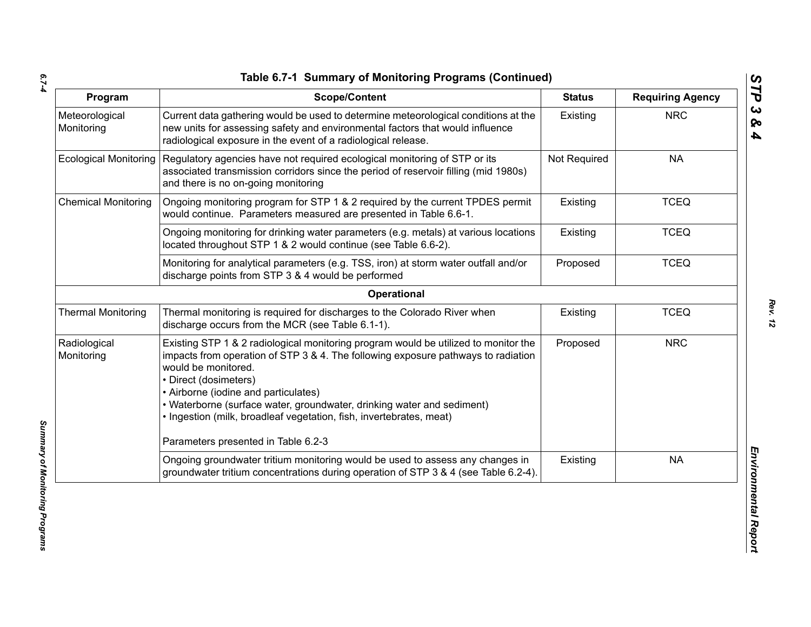*6.7-4*

| Program                      | <b>Scope/Content</b>                                                                                                                                                                                                                                                                                                                                                                                              | <b>Status</b> | <b>Requiring Agency</b> |
|------------------------------|-------------------------------------------------------------------------------------------------------------------------------------------------------------------------------------------------------------------------------------------------------------------------------------------------------------------------------------------------------------------------------------------------------------------|---------------|-------------------------|
| Meteorological<br>Monitoring | Current data gathering would be used to determine meteorological conditions at the<br>new units for assessing safety and environmental factors that would influence<br>radiological exposure in the event of a radiological release.                                                                                                                                                                              | Existing      | <b>NRC</b>              |
| <b>Ecological Monitoring</b> | Regulatory agencies have not required ecological monitoring of STP or its<br>associated transmission corridors since the period of reservoir filling (mid 1980s)<br>and there is no on-going monitoring                                                                                                                                                                                                           | Not Required  | <b>NA</b>               |
| <b>Chemical Monitoring</b>   | Ongoing monitoring program for STP 1 & 2 required by the current TPDES permit<br>would continue. Parameters measured are presented in Table 6.6-1.                                                                                                                                                                                                                                                                | Existing      | <b>TCEQ</b>             |
|                              | Ongoing monitoring for drinking water parameters (e.g. metals) at various locations<br>located throughout STP 1 & 2 would continue (see Table 6.6-2).                                                                                                                                                                                                                                                             | Existing      | <b>TCEQ</b>             |
|                              | Monitoring for analytical parameters (e.g. TSS, iron) at storm water outfall and/or<br>discharge points from STP 3 & 4 would be performed                                                                                                                                                                                                                                                                         | Proposed      | <b>TCEQ</b>             |
|                              | Operational                                                                                                                                                                                                                                                                                                                                                                                                       |               |                         |
| <b>Thermal Monitoring</b>    | Thermal monitoring is required for discharges to the Colorado River when<br>discharge occurs from the MCR (see Table 6.1-1).                                                                                                                                                                                                                                                                                      | Existing      | <b>TCEQ</b>             |
| Radiological<br>Monitoring   | Existing STP 1 & 2 radiological monitoring program would be utilized to monitor the<br>impacts from operation of STP 3 & 4. The following exposure pathways to radiation<br>would be monitored.<br>• Direct (dosimeters)<br>• Airborne (iodine and particulates)<br>• Waterborne (surface water, groundwater, drinking water and sediment)<br>· Ingestion (milk, broadleaf vegetation, fish, invertebrates, meat) | Proposed      | <b>NRC</b>              |
|                              | Parameters presented in Table 6.2-3                                                                                                                                                                                                                                                                                                                                                                               |               |                         |
|                              | Ongoing groundwater tritium monitoring would be used to assess any changes in<br>groundwater tritium concentrations during operation of STP 3 & 4 (see Table 6.2-4).                                                                                                                                                                                                                                              | Existing      | <b>NA</b>               |

*Summary of Monitoring Programs*